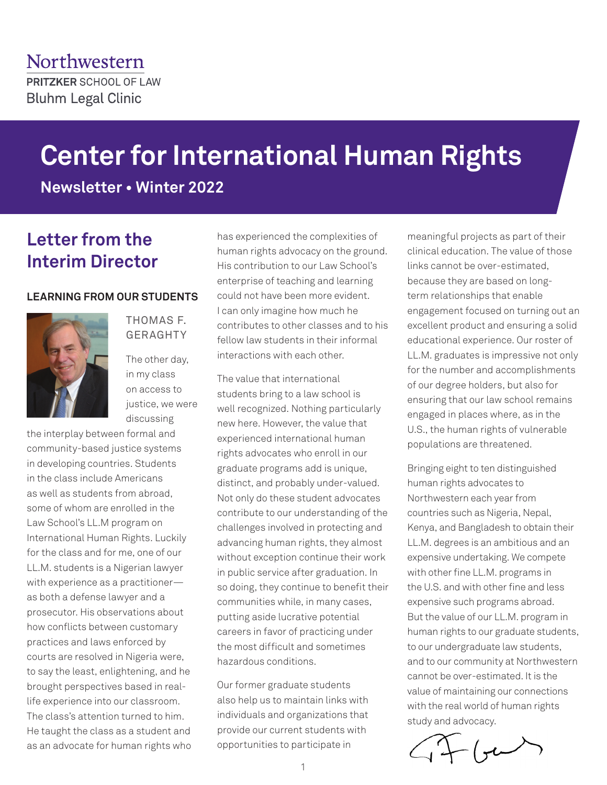# **Center for International Human Rights**

**Newsletter • Winter 2022**

# **Letter from the Interim Director**

#### **LEARNING FROM OUR STUDENTS**



THOMAS F. GERAGHTY

The other day, in my class on access to justice, we were discussing

the interplay between formal and community-based justice systems in developing countries. Students in the class include Americans as well as students from abroad, some of whom are enrolled in the Law School's LL.M program on International Human Rights. Luckily for the class and for me, one of our LL.M. students is a Nigerian lawyer with experience as a practitioner as both a defense lawyer and a prosecutor. His observations about how conflicts between customary practices and laws enforced by courts are resolved in Nigeria were, to say the least, enlightening, and he brought perspectives based in reallife experience into our classroom. The class's attention turned to him. He taught the class as a student and as an advocate for human rights who has experienced the complexities of human rights advocacy on the ground. His contribution to our Law School's enterprise of teaching and learning could not have been more evident. I can only imagine how much he contributes to other classes and to his fellow law students in their informal interactions with each other.

The value that international students bring to a law school is well recognized. Nothing particularly new here. However, the value that experienced international human rights advocates who enroll in our graduate programs add is unique, distinct, and probably under-valued. Not only do these student advocates contribute to our understanding of the challenges involved in protecting and advancing human rights, they almost without exception continue their work in public service after graduation. In so doing, they continue to benefit their communities while, in many cases, putting aside lucrative potential careers in favor of practicing under the most difficult and sometimes hazardous conditions.

Our former graduate students also help us to maintain links with individuals and organizations that provide our current students with opportunities to participate in

meaningful projects as part of their clinical education. The value of those links cannot be over-estimated, because they are based on longterm relationships that enable engagement focused on turning out an excellent product and ensuring a solid educational experience. Our roster of LL.M. graduates is impressive not only for the number and accomplishments of our degree holders, but also for ensuring that our law school remains engaged in places where, as in the U.S., the human rights of vulnerable populations are threatened.

Bringing eight to ten distinguished human rights advocates to Northwestern each year from countries such as Nigeria, Nepal, Kenya, and Bangladesh to obtain their LL.M. degrees is an ambitious and an expensive undertaking. We compete with other fine LL.M. programs in the U.S. and with other fine and less expensive such programs abroad. But the value of our LL.M. program in human rights to our graduate students, to our undergraduate law students, and to our community at Northwestern cannot be over-estimated. It is the value of maintaining our connections with the real world of human rights study and advocacy.

 $-$  (ye)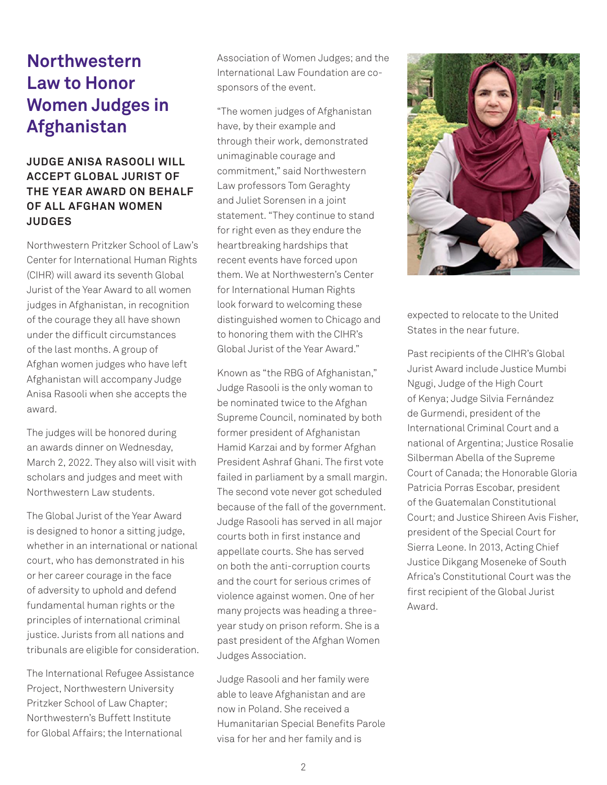# **Northwestern Law to Honor Women Judges in Afghanistan**

# **JUDGE ANISA RASOOLI WILL ACCEPT GLOBAL JURIST OF THE YEAR AWARD ON BEHALF OF ALL AFGHAN WOMEN JUDGES**

Northwestern Pritzker School of Law's Center for International Human Rights (CIHR) will award its seventh Global Jurist of the Year Award to all women judges in Afghanistan, in recognition of the courage they all have shown under the difficult circumstances of the last months. A group of Afghan women judges who have left Afghanistan will accompany Judge Anisa Rasooli when she accepts the award.

The judges will be honored during an awards dinner on Wednesday, March 2, 2022. They also will visit with scholars and judges and meet with Northwestern Law students.

The Global Jurist of the Year Award is designed to honor a sitting judge, whether in an international or national court, who has demonstrated in his or her career courage in the face of adversity to uphold and defend fundamental human rights or the principles of international criminal justice. Jurists from all nations and tribunals are eligible for consideration.

The International Refugee Assistance Project, Northwestern University Pritzker School of Law Chapter; Northwestern's Buffett Institute for Global Affairs; the International

Association of Women Judges; and the International Law Foundation are cosponsors of the event.

"The women judges of Afghanistan have, by their example and through their work, demonstrated unimaginable courage and commitment," said Northwestern Law professors Tom Geraghty and Juliet Sorensen in a joint statement. "They continue to stand for right even as they endure the heartbreaking hardships that recent events have forced upon them. We at Northwestern's Center for International Human Rights look forward to welcoming these distinguished women to Chicago and to honoring them with the CIHR's Global Jurist of the Year Award."

Known as "the RBG of Afghanistan," Judge Rasooli is the only woman to be nominated twice to the Afghan Supreme Council, nominated by both former president of Afghanistan Hamid Karzai and by former Afghan President Ashraf Ghani. The first vote failed in parliament by a small margin. The second vote never got scheduled because of the fall of the government. Judge Rasooli has served in all major courts both in first instance and appellate courts. She has served on both the anti-corruption courts and the court for serious crimes of violence against women. One of her many projects was heading a threeyear study on prison reform. She is a past president of the Afghan Women Judges Association.

Judge Rasooli and her family were able to leave Afghanistan and are now in Poland. She received a Humanitarian Special Benefits Parole visa for her and her family and is



expected to relocate to the United States in the near future.

Past recipients of the CIHR's Global Jurist Award include Justice Mumbi Ngugi, Judge of the High Court of Kenya; Judge Silvia Fernández de Gurmendi, president of the International Criminal Court and a national of Argentina; Justice Rosalie Silberman Abella of the Supreme Court of Canada; the Honorable Gloria Patricia Porras Escobar, president of the Guatemalan Constitutional Court; and Justice Shireen Avis Fisher, president of the Special Court for Sierra Leone. In 2013, Acting Chief Justice Dikgang Moseneke of South Africa's Constitutional Court was the first recipient of the Global Jurist Award.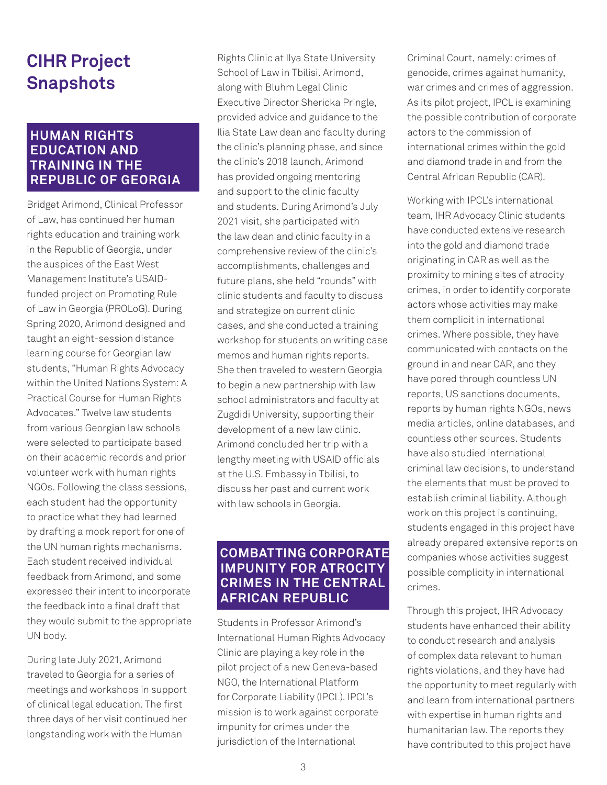# **CIHR Project Snapshots**

# **HUMAN RIGHTS EDUCATION AND TRAINING IN THE REPUBLIC OF GEORGIA**

Bridget Arimond, Clinical Professor of Law, has continued her human rights education and training work in the Republic of Georgia, under the auspices of the East West Management Institute's USAIDfunded project on Promoting Rule of Law in Georgia (PROLoG). During Spring 2020, Arimond designed and taught an eight-session distance learning course for Georgian law students, "Human Rights Advocacy within the United Nations System: A Practical Course for Human Rights Advocates." Twelve law students from various Georgian law schools were selected to participate based on their academic records and prior volunteer work with human rights NGOs. Following the class sessions, each student had the opportunity to practice what they had learned by drafting a mock report for one of the UN human rights mechanisms. Each student received individual feedback from Arimond, and some expressed their intent to incorporate the feedback into a final draft that they would submit to the appropriate UN body.

During late July 2021, Arimond traveled to Georgia for a series of meetings and workshops in support of clinical legal education. The first three days of her visit continued her longstanding work with the Human

Rights Clinic at Ilya State University School of Law in Tbilisi. Arimond, along with Bluhm Legal Clinic Executive Director Shericka Pringle, provided advice and guidance to the Ilia State Law dean and faculty during the clinic's planning phase, and since the clinic's 2018 launch, Arimond has provided ongoing mentoring and support to the clinic faculty and students. During Arimond's July 2021 visit, she participated with the law dean and clinic faculty in a comprehensive review of the clinic's accomplishments, challenges and future plans, she held "rounds" with clinic students and faculty to discuss and strategize on current clinic cases, and she conducted a training workshop for students on writing case memos and human rights reports. She then traveled to western Georgia to begin a new partnership with law school administrators and faculty at Zugdidi University, supporting their development of a new law clinic. Arimond concluded her trip with a lengthy meeting with USAID officials at the U.S. Embassy in Tbilisi, to discuss her past and current work with law schools in Georgia.

# **COMBATTING CORPORATE IMPUNITY FOR ATROCITY CRIMES IN THE CENTRAL AFRICAN REPUBLIC**

Students in Professor Arimond's International Human Rights Advocacy Clinic are playing a key role in the pilot project of a new Geneva-based NGO, the International Platform for Corporate Liability (IPCL). IPCL's mission is to work against corporate impunity for crimes under the jurisdiction of the International

Criminal Court, namely: crimes of genocide, crimes against humanity, war crimes and crimes of aggression. As its pilot project, IPCL is examining the possible contribution of corporate actors to the commission of international crimes within the gold and diamond trade in and from the Central African Republic (CAR).

Working with IPCL's international team, IHR Advocacy Clinic students have conducted extensive research into the gold and diamond trade originating in CAR as well as the proximity to mining sites of atrocity crimes, in order to identify corporate actors whose activities may make them complicit in international crimes. Where possible, they have communicated with contacts on the ground in and near CAR, and they have pored through countless UN reports, US sanctions documents, reports by human rights NGOs, news media articles, online databases, and countless other sources. Students have also studied international criminal law decisions, to understand the elements that must be proved to establish criminal liability. Although work on this project is continuing, students engaged in this project have already prepared extensive reports on companies whose activities suggest possible complicity in international crimes.

Through this project, IHR Advocacy students have enhanced their ability to conduct research and analysis of complex data relevant to human rights violations, and they have had the opportunity to meet regularly with and learn from international partners with expertise in human rights and humanitarian law. The reports they have contributed to this project have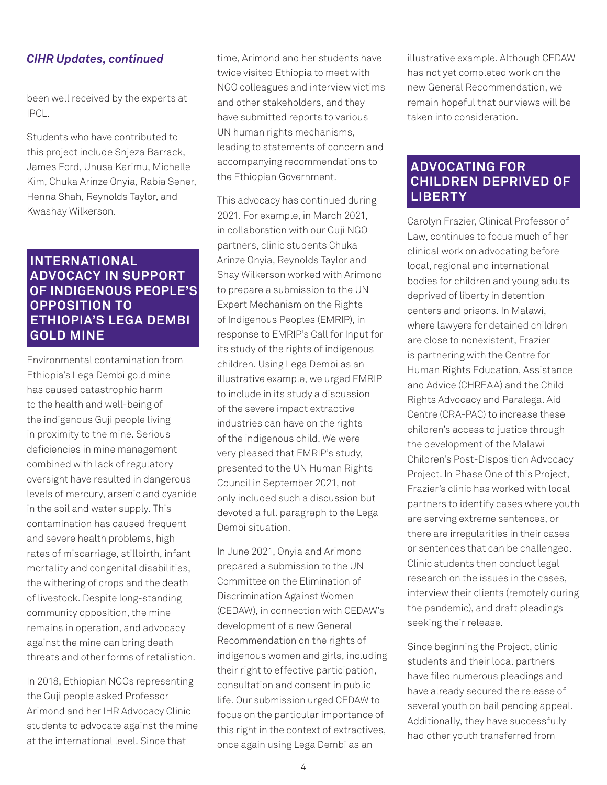#### *CIHR Updates, continued*

been well received by the experts at IPCL.

Students who have contributed to this project include Snjeza Barrack, James Ford, Unusa Karimu, Michelle Kim, Chuka Arinze Onyia, Rabia Sener, Henna Shah, Reynolds Taylor, and Kwashay Wilkerson.

# **INTERNATIONAL ADVOCACY IN SUPPORT OF INDIGENOUS PEOPLE'S OPPOSITION TO ETHIOPIA'S LEGA DEMBI GOLD MINE**

Environmental contamination from Ethiopia's Lega Dembi gold mine has caused catastrophic harm to the health and well-being of the indigenous Guji people living in proximity to the mine. Serious deficiencies in mine management combined with lack of regulatory oversight have resulted in dangerous levels of mercury, arsenic and cyanide in the soil and water supply. This contamination has caused frequent and severe health problems, high rates of miscarriage, stillbirth, infant mortality and congenital disabilities, the withering of crops and the death of livestock. Despite long-standing community opposition, the mine remains in operation, and advocacy against the mine can bring death threats and other forms of retaliation.

In 2018, Ethiopian NGOs representing the Guji people asked Professor Arimond and her IHR Advocacy Clinic students to advocate against the mine at the international level. Since that

time, Arimond and her students have twice visited Ethiopia to meet with NGO colleagues and interview victims and other stakeholders, and they have submitted reports to various UN human rights mechanisms, leading to statements of concern and accompanying recommendations to the Ethiopian Government.

This advocacy has continued during 2021. For example, in March 2021, in collaboration with our Guji NGO partners, clinic students Chuka Arinze Onyia, Reynolds Taylor and Shay Wilkerson worked with Arimond to prepare a submission to the UN Expert Mechanism on the Rights of Indigenous Peoples (EMRIP), in response to EMRIP's Call for Input for its study of the rights of indigenous children. Using Lega Dembi as an illustrative example, we urged EMRIP to include in its study a discussion of the severe impact extractive industries can have on the rights of the indigenous child. We were very pleased that EMRIP's study, presented to the UN Human Rights Council in September 2021, not only included such a discussion but devoted a full paragraph to the Lega Dembi situation.

In June 2021, Onyia and Arimond prepared a submission to the UN Committee on the Elimination of Discrimination Against Women (CEDAW), in connection with CEDAW's development of a new General Recommendation on the rights of indigenous women and girls, including their right to effective participation, consultation and consent in public life. Our submission urged CEDAW to focus on the particular importance of this right in the context of extractives, once again using Lega Dembi as an

illustrative example. Although CEDAW has not yet completed work on the new General Recommendation, we remain hopeful that our views will be taken into consideration.

## **ADVOCATING FOR CHILDREN DEPRIVED OF LIBERTY**

Carolyn Frazier, Clinical Professor of Law, continues to focus much of her clinical work on advocating before local, regional and international bodies for children and young adults deprived of liberty in detention centers and prisons. In Malawi, where lawyers for detained children are close to nonexistent, Frazier is partnering with the Centre for Human Rights Education, Assistance and Advice (CHREAA) and the Child Rights Advocacy and Paralegal Aid Centre (CRA-PAC) to increase these children's access to justice through the development of the Malawi Children's Post-Disposition Advocacy Project. In Phase One of this Project, Frazier's clinic has worked with local partners to identify cases where youth are serving extreme sentences, or there are irregularities in their cases or sentences that can be challenged. Clinic students then conduct legal research on the issues in the cases, interview their clients (remotely during the pandemic), and draft pleadings seeking their release.

Since beginning the Project, clinic students and their local partners have filed numerous pleadings and have already secured the release of several youth on bail pending appeal. Additionally, they have successfully had other youth transferred from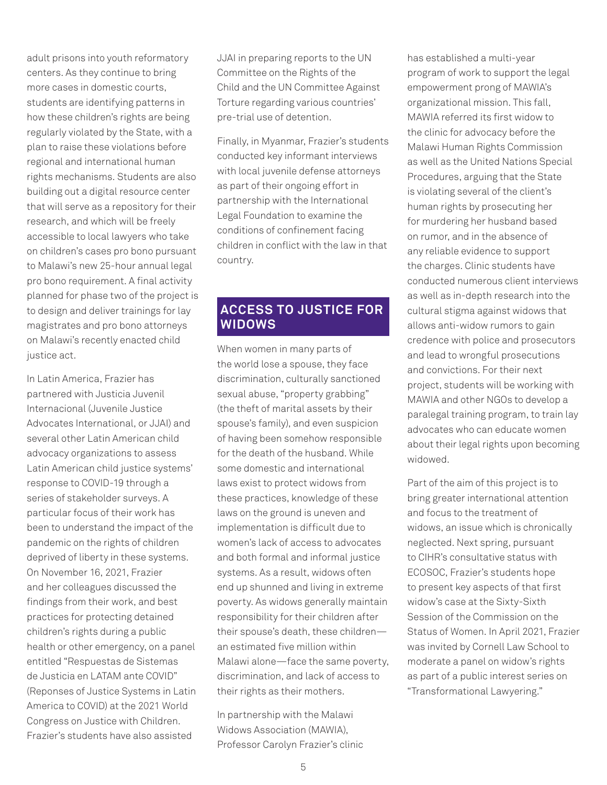adult prisons into youth reformatory centers. As they continue to bring more cases in domestic courts, students are identifying patterns in how these children's rights are being regularly violated by the State, with a plan to raise these violations before regional and international human rights mechanisms. Students are also building out a digital resource center that will serve as a repository for their research, and which will be freely accessible to local lawyers who take on children's cases pro bono pursuant to Malawi's new 25-hour annual legal pro bono requirement. A final activity planned for phase two of the project is to design and deliver trainings for lay magistrates and pro bono attorneys on Malawi's recently enacted child justice act.

In Latin America, Frazier has partnered with Justicia Juvenil Internacional (Juvenile Justice Advocates International, or JJAI) and several other Latin American child advocacy organizations to assess Latin American child justice systems' response to COVID-19 through a series of stakeholder surveys. A particular focus of their work has been to understand the impact of the pandemic on the rights of children deprived of liberty in these systems. On November 16, 2021, Frazier and her colleagues discussed the findings from their work, and best practices for protecting detained children's rights during a public health or other emergency, on a panel entitled "Respuestas de Sistemas de Justicia en LATAM ante COVID" (Reponses of Justice Systems in Latin America to COVID) at the 2021 World Congress on Justice with Children. Frazier's students have also assisted

JJAI in preparing reports to the UN Committee on the Rights of the Child and the UN Committee Against Torture regarding various countries' pre-trial use of detention.

Finally, in Myanmar, Frazier's students conducted key informant interviews with local juvenile defense attorneys as part of their ongoing effort in partnership with the International Legal Foundation to examine the conditions of confinement facing children in conflict with the law in that country.

# **ACCESS TO JUSTICE FOR WIDOWS**

When women in many parts of the world lose a spouse, they face discrimination, culturally sanctioned sexual abuse, "property grabbing" (the theft of marital assets by their spouse's family), and even suspicion of having been somehow responsible for the death of the husband. While some domestic and international laws exist to protect widows from these practices, knowledge of these laws on the ground is uneven and implementation is difficult due to women's lack of access to advocates and both formal and informal justice systems. As a result, widows often end up shunned and living in extreme poverty. As widows generally maintain responsibility for their children after their spouse's death, these children an estimated five million within Malawi alone—face the same poverty, discrimination, and lack of access to their rights as their mothers.

In partnership with the Malawi Widows Association (MAWIA), Professor Carolyn Frazier's clinic

has established a multi-year program of work to support the legal empowerment prong of MAWIA's organizational mission. This fall, MAWIA referred its first widow to the clinic for advocacy before the Malawi Human Rights Commission as well as the United Nations Special Procedures, arguing that the State is violating several of the client's human rights by prosecuting her for murdering her husband based on rumor, and in the absence of any reliable evidence to support the charges. Clinic students have conducted numerous client interviews as well as in-depth research into the cultural stigma against widows that allows anti-widow rumors to gain credence with police and prosecutors and lead to wrongful prosecutions and convictions. For their next project, students will be working with MAWIA and other NGOs to develop a paralegal training program, to train lay advocates who can educate women about their legal rights upon becoming widowed.

Part of the aim of this project is to bring greater international attention and focus to the treatment of widows, an issue which is chronically neglected. Next spring, pursuant to CIHR's consultative status with ECOSOC, Frazier's students hope to present key aspects of that first widow's case at the Sixty-Sixth Session of the Commission on the Status of Women. In April 2021, Frazier was invited by Cornell Law School to moderate a panel on widow's rights as part of a public interest series on "Transformational Lawyering."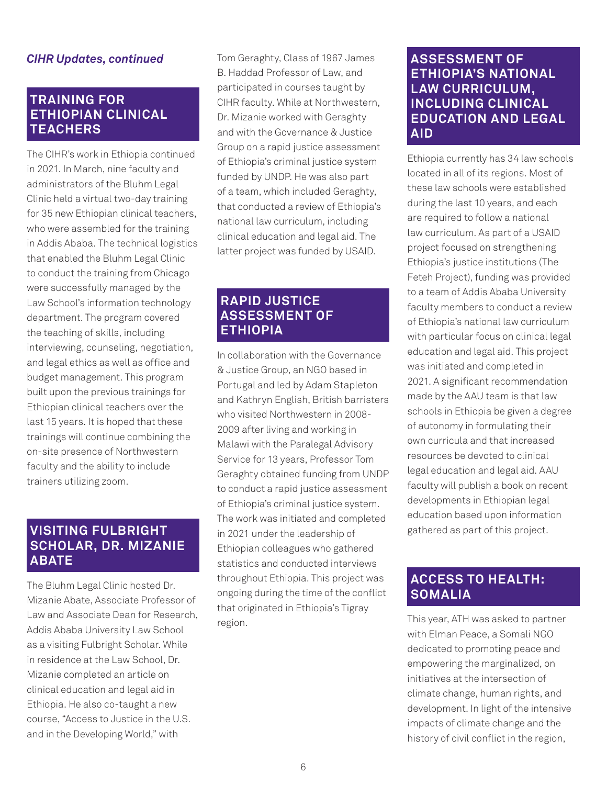# *CIHR Updates, continued*

# **TRAINING FOR ETHIOPIAN CLINICAL TEACHERS**

The CIHR's work in Ethiopia continued in 2021. In March, nine faculty and administrators of the Bluhm Legal Clinic held a virtual two-day training for 35 new Ethiopian clinical teachers, who were assembled for the training in Addis Ababa. The technical logistics that enabled the Bluhm Legal Clinic to conduct the training from Chicago were successfully managed by the Law School's information technology department. The program covered the teaching of skills, including interviewing, counseling, negotiation, and legal ethics as well as office and budget management. This program built upon the previous trainings for Ethiopian clinical teachers over the last 15 years. It is hoped that these trainings will continue combining the on-site presence of Northwestern faculty and the ability to include trainers utilizing zoom.

# **VISITING FULBRIGHT SCHOLAR, DR. MIZANIE ABATE**

The Bluhm Legal Clinic hosted Dr. Mizanie Abate, Associate Professor of Law and Associate Dean for Research, Addis Ababa University Law School as a visiting Fulbright Scholar. While in residence at the Law School, Dr. Mizanie completed an article on clinical education and legal aid in Ethiopia. He also co-taught a new course, "Access to Justice in the U.S. and in the Developing World," with

Tom Geraghty, Class of 1967 James B. Haddad Professor of Law, and participated in courses taught by CIHR faculty. While at Northwestern, Dr. Mizanie worked with Geraghty and with the Governance & Justice Group on a rapid justice assessment of Ethiopia's criminal justice system funded by UNDP. He was also part of a team, which included Geraghty, that conducted a review of Ethiopia's national law curriculum, including clinical education and legal aid. The latter project was funded by USAID.

# **RAPID JUSTICE ASSESSMENT OF ETHIOPIA**

In collaboration with the Governance & Justice Group, an NGO based in Portugal and led by Adam Stapleton and Kathryn English, British barristers who visited Northwestern in 2008- 2009 after living and working in Malawi with the Paralegal Advisory Service for 13 years, Professor Tom Geraghty obtained funding from UNDP to conduct a rapid justice assessment of Ethiopia's criminal justice system. The work was initiated and completed in 2021 under the leadership of Ethiopian colleagues who gathered statistics and conducted interviews throughout Ethiopia. This project was ongoing during the time of the conflict that originated in Ethiopia's Tigray region.

# **ASSESSMENT OF ETHIOPIA'S NATIONAL LAW CURRICULUM, INCLUDING CLINICAL EDUCATION AND LEGAL AID**

Ethiopia currently has 34 law schools located in all of its regions. Most of these law schools were established during the last 10 years, and each are required to follow a national law curriculum. As part of a USAID project focused on strengthening Ethiopia's justice institutions (The Feteh Project), funding was provided to a team of Addis Ababa University faculty members to conduct a review of Ethiopia's national law curriculum with particular focus on clinical legal education and legal aid. This project was initiated and completed in 2021. A significant recommendation made by the AAU team is that law schools in Ethiopia be given a degree of autonomy in formulating their own curricula and that increased resources be devoted to clinical legal education and legal aid. AAU faculty will publish a book on recent developments in Ethiopian legal education based upon information gathered as part of this project.

# **ACCESS TO HEALTH: SOMALIA**

This year, ATH was asked to partner with Elman Peace, a Somali NGO dedicated to promoting peace and empowering the marginalized, on initiatives at the intersection of climate change, human rights, and development. In light of the intensive impacts of climate change and the history of civil conflict in the region,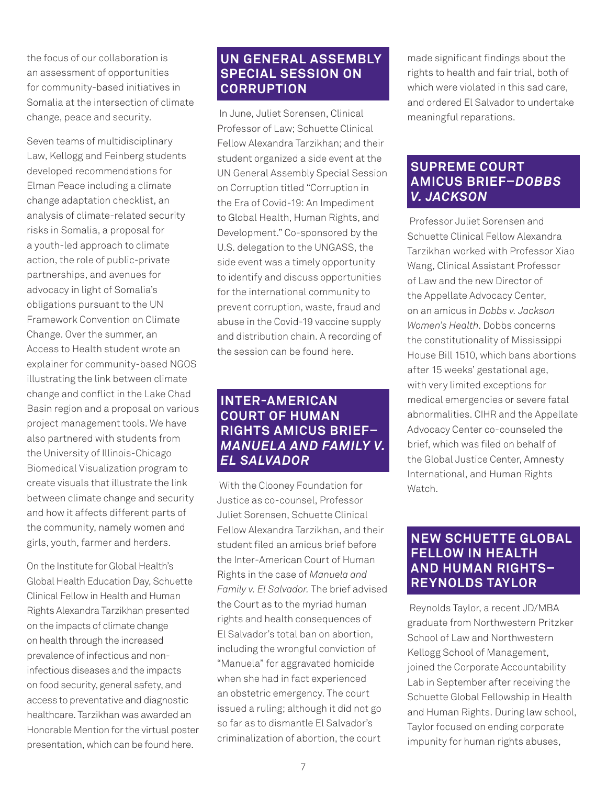the focus of our collaboration is an assessment of opportunities for community-based initiatives in Somalia at the intersection of climate change, peace and security.

Seven teams of multidisciplinary Law, Kellogg and Feinberg students developed recommendations for Elman Peace including a climate change adaptation checklist, an analysis of climate-related security risks in Somalia, a proposal for a youth-led approach to climate action, the role of public-private partnerships, and avenues for advocacy in light of Somalia's obligations pursuant to the UN Framework Convention on Climate Change. Over the summer, an Access to Health student wrote an explainer for community-based NGOS illustrating the link between climate change and conflict in the Lake Chad Basin region and a proposal on various project management tools. We have also partnered with students from the University of Illinois-Chicago Biomedical Visualization program to create visuals that illustrate the link between climate change and security and how it affects different parts of the community, namely women and girls, youth, farmer and herders.

On the Institute for Global Health's Global Health Education Day, Schuette Clinical Fellow in Health and Human Rights Alexandra Tarzikhan presented on the impacts of climate change on health through the increased prevalence of infectious and noninfectious diseases and the impacts on food security, general safety, and access to preventative and diagnostic healthcare. Tarzikhan was awarded an Honorable Mention for the virtual poster presentation, which can be found here.

# **UN GENERAL ASSEMBLY SPECIAL SESSION ON CORRUPTION**

 In June, Juliet Sorensen, Clinical Professor of Law; Schuette Clinical Fellow Alexandra Tarzikhan; and their student organized a side event at the UN General Assembly Special Session on Corruption titled "Corruption in the Era of Covid-19: An Impediment to Global Health, Human Rights, and Development." Co-sponsored by the U.S. delegation to the UNGASS, the side event was a timely opportunity to identify and discuss opportunities for the international community to prevent corruption, waste, fraud and abuse in the Covid-19 vaccine supply and distribution chain. A recording of the session can be found here.

# **INTER-AMERICAN COURT OF HUMAN RIGHTS AMICUS BRIEF–**  *MANUELA AND FAMILY V. EL SALVADOR*

 With the Clooney Foundation for Justice as co-counsel, Professor Juliet Sorensen, Schuette Clinical Fellow Alexandra Tarzikhan, and their student filed an amicus brief before the Inter-American Court of Human Rights in the case of *Manuela and Family v. El Salvador.* The brief advised the Court as to the myriad human rights and health consequences of El Salvador's total ban on abortion, including the wrongful conviction of "Manuela" for aggravated homicide when she had in fact experienced an obstetric emergency. The court issued a ruling; although it did not go so far as to dismantle El Salvador's criminalization of abortion, the court

made significant findings about the rights to health and fair trial, both of which were violated in this sad care and ordered El Salvador to undertake meaningful reparations.

# **SUPREME COURT AMICUS BRIEF–***DOBBS V. JACKSON*

 Professor Juliet Sorensen and Schuette Clinical Fellow Alexandra Tarzikhan worked with Professor Xiao Wang, Clinical Assistant Professor of Law and the new Director of the Appellate Advocacy Center, on an amicus in *Dobbs v. Jackson Women's Health*. Dobbs concerns the constitutionality of Mississippi House Bill 1510, which bans abortions after 15 weeks' gestational age, with very limited exceptions for medical emergencies or severe fatal abnormalities. CIHR and the Appellate Advocacy Center co-counseled the brief, which was filed on behalf of the Global Justice Center, Amnesty International, and Human Rights Watch.

# **NEW SCHUETTE GLOBAL FELLOW IN HEALTH AND HUMAN RIGHTS– REYNOLDS TAYLOR**

 Reynolds Taylor, a recent JD/MBA graduate from Northwestern Pritzker School of Law and Northwestern Kellogg School of Management, joined the Corporate Accountability Lab in September after receiving the Schuette Global Fellowship in Health and Human Rights. During law school, Taylor focused on ending corporate impunity for human rights abuses,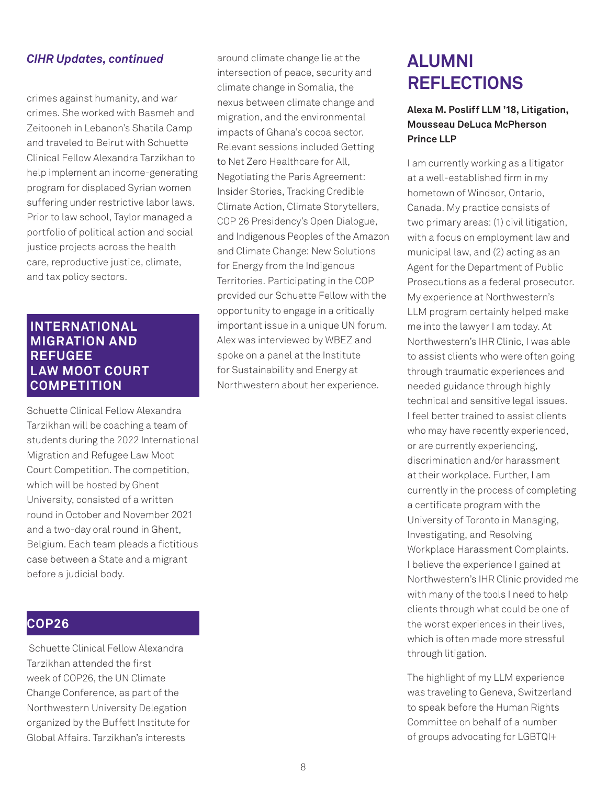#### *CIHR Updates, continued*

crimes against humanity, and war crimes. She worked with Basmeh and Zeitooneh in Lebanon's Shatila Camp and traveled to Beirut with Schuette Clinical Fellow Alexandra Tarzikhan to help implement an income-generating program for displaced Syrian women suffering under restrictive labor laws. Prior to law school, Taylor managed a portfolio of political action and social justice projects across the health care, reproductive justice, climate, and tax policy sectors.

# **INTERNATIONAL MIGRATION AND REFUGEE LAW MOOT COURT COMPETITION**

Schuette Clinical Fellow Alexandra Tarzikhan will be coaching a team of students during the 2022 International Migration and Refugee Law Moot Court Competition. The competition, which will be hosted by Ghent University, consisted of a written round in October and November 2021 and a two-day oral round in Ghent, Belgium. Each team pleads a fictitious case between a State and a migrant before a judicial body.

# **COP26**

 Schuette Clinical Fellow Alexandra Tarzikhan attended the first week of COP26, the UN Climate Change Conference, as part of the Northwestern University Delegation organized by the Buffett Institute for Global Affairs. Tarzikhan's interests

around climate change lie at the intersection of peace, security and climate change in Somalia, the nexus between climate change and migration, and the environmental impacts of Ghana's cocoa sector. Relevant sessions included Getting to Net Zero Healthcare for All, Negotiating the Paris Agreement: Insider Stories, Tracking Credible Climate Action, Climate Storytellers, COP 26 Presidency's Open Dialogue, and Indigenous Peoples of the Amazon and Climate Change: New Solutions for Energy from the Indigenous Territories. Participating in the COP provided our Schuette Fellow with the opportunity to engage in a critically important issue in a unique UN forum. Alex was interviewed by WBEZ and spoke on a panel at the Institute for Sustainability and Energy at Northwestern about her experience.

# **ALUMNI REFLECTIONS**

### **Alexa M. Posliff LLM '18, Litigation, Mousseau DeLuca McPherson Prince LLP**

I am currently working as a litigator at a well-established firm in my hometown of Windsor, Ontario, Canada. My practice consists of two primary areas: (1) civil litigation, with a focus on employment law and municipal law, and (2) acting as an Agent for the Department of Public Prosecutions as a federal prosecutor. My experience at Northwestern's LLM program certainly helped make me into the lawyer I am today. At Northwestern's IHR Clinic, I was able to assist clients who were often going through traumatic experiences and needed guidance through highly technical and sensitive legal issues. I feel better trained to assist clients who may have recently experienced, or are currently experiencing, discrimination and/or harassment at their workplace. Further, I am currently in the process of completing a certificate program with the University of Toronto in Managing, Investigating, and Resolving Workplace Harassment Complaints. I believe the experience I gained at Northwestern's IHR Clinic provided me with many of the tools I need to help clients through what could be one of the worst experiences in their lives, which is often made more stressful through litigation.

The highlight of my LLM experience was traveling to Geneva, Switzerland to speak before the Human Rights Committee on behalf of a number of groups advocating for LGBTQI+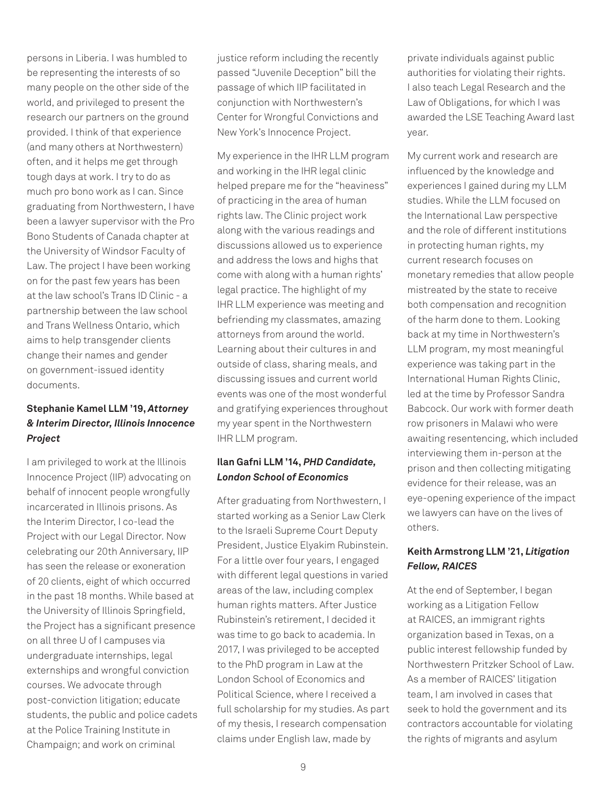persons in Liberia. I was humbled to be representing the interests of so many people on the other side of the world, and privileged to present the research our partners on the ground provided. I think of that experience (and many others at Northwestern) often, and it helps me get through tough days at work. I try to do as much pro bono work as I can. Since graduating from Northwestern, I have been a lawyer supervisor with the Pro Bono Students of Canada chapter at the University of Windsor Faculty of Law. The project I have been working on for the past few years has been at the law school's Trans ID Clinic - a partnership between the law school and Trans Wellness Ontario, which aims to help transgender clients change their names and gender on government-issued identity documents.

### **Stephanie Kamel LLM '19,** *Attorney & Interim Director, Illinois Innocence Project*

I am privileged to work at the Illinois Innocence Project (IIP) advocating on behalf of innocent people wrongfully incarcerated in Illinois prisons. As the Interim Director, I co-lead the Project with our Legal Director. Now celebrating our 20th Anniversary, IIP has seen the release or exoneration of 20 clients, eight of which occurred in the past 18 months. While based at the University of Illinois Springfield, the Project has a significant presence on all three U of I campuses via undergraduate internships, legal externships and wrongful conviction courses. We advocate through post-conviction litigation; educate students, the public and police cadets at the Police Training Institute in Champaign; and work on criminal

justice reform including the recently passed "Juvenile Deception" bill the passage of which IIP facilitated in conjunction with Northwestern's Center for Wrongful Convictions and New York's Innocence Project.

My experience in the IHR LLM program and working in the IHR legal clinic helped prepare me for the "heaviness" of practicing in the area of human rights law. The Clinic project work along with the various readings and discussions allowed us to experience and address the lows and highs that come with along with a human rights' legal practice. The highlight of my IHR LLM experience was meeting and befriending my classmates, amazing attorneys from around the world. Learning about their cultures in and outside of class, sharing meals, and discussing issues and current world events was one of the most wonderful and gratifying experiences throughout my year spent in the Northwestern IHR LLM program.

#### **Ilan Gafni LLM '14,** *PHD Candidate, London School of Economics*

After graduating from Northwestern, I started working as a Senior Law Clerk to the Israeli Supreme Court Deputy President, Justice Elyakim Rubinstein. For a little over four years, I engaged with different legal questions in varied areas of the law, including complex human rights matters. After Justice Rubinstein's retirement, I decided it was time to go back to academia. In 2017, I was privileged to be accepted to the PhD program in Law at the London School of Economics and Political Science, where I received a full scholarship for my studies. As part of my thesis, I research compensation claims under English law, made by

private individuals against public authorities for violating their rights. I also teach Legal Research and the Law of Obligations, for which I was awarded the LSE Teaching Award last year.

My current work and research are influenced by the knowledge and experiences I gained during my LLM studies. While the LLM focused on the International Law perspective and the role of different institutions in protecting human rights, my current research focuses on monetary remedies that allow people mistreated by the state to receive both compensation and recognition of the harm done to them. Looking back at my time in Northwestern's LLM program, my most meaningful experience was taking part in the International Human Rights Clinic, led at the time by Professor Sandra Babcock. Our work with former death row prisoners in Malawi who were awaiting resentencing, which included interviewing them in-person at the prison and then collecting mitigating evidence for their release, was an eye-opening experience of the impact we lawyers can have on the lives of others.

#### **Keith Armstrong LLM '21,** *Litigation Fellow, RAICES*

At the end of September, I began working as a Litigation Fellow at RAICES, an immigrant rights organization based in Texas, on a public interest fellowship funded by Northwestern Pritzker School of Law. As a member of RAICES' litigation team, I am involved in cases that seek to hold the government and its contractors accountable for violating the rights of migrants and asylum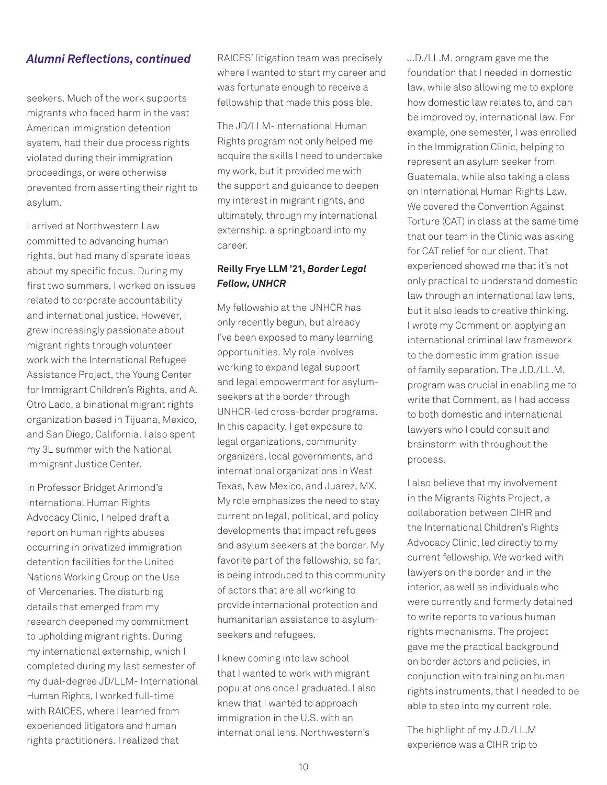#### *Alumni Reflections, continued*

seekers. Much of the work supports migrants who faced harm in the vast American immigration detention system, had their due process rights violated during their immigration proceedings, or were otherwise prevented from asserting their right to asylum.

I arrived at Northwestern Law committed to advancing human rights, but had many disparate ideas about my specific focus. During my first two summers, I worked on issues related to corporate accountability and international justice. However, I grew increasingly passionate about migrant rights through volunteer work with the International Refugee Assistance Project, the Young Center for Immigrant Children's Rights, and Al Otro Lado, a binational migrant rights organization based in Tijuana, Mexico, and San Diego, California. I also spent my 3L summer with the National Immigrant Justice Center.

In Professor Bridget Arimond's International Human Rights Advocacy Clinic, I helped draft a report on human rights abuses occurring in privatized immigration detention facilities for the United Nations Working Group on the Use of Mercenaries. The disturbing details that emerged from my research deepened my commitment to upholding migrant rights. During my international externship, which I completed during my last semester of my dual-degree JD/LLM- International Human Rights, I worked full-time with RAICES, where I learned from experienced litigators and human rights practitioners. I realized that

RAICES' litigation team was precisely where I wanted to start my career and was fortunate enough to receive a fellowship that made this possible.

The JD/LLM-International Human Rights program not only helped me acquire the skills I need to undertake my work, but it provided me with the support and guidance to deepen my interest in migrant rights, and ultimately, through my international externship, a springboard into my career.

#### **Reilly Frye LLM '21,** *Border Legal Fellow, UNHCR*

My fellowship at the UNHCR has only recently begun, but already I've been exposed to many learning opportunities. My role involves working to expand legal support and legal empowerment for asylumseekers at the border through UNHCR-led cross-border programs. In this capacity, I get exposure to legal organizations, community organizers, local governments, and international organizations in West Texas, New Mexico, and Juarez, MX. My role emphasizes the need to stay current on legal, political, and policy developments that impact refugees and asylum seekers at the border. My favorite part of the fellowship, so far, is being introduced to this community of actors that are all working to provide international protection and humanitarian assistance to asylumseekers and refugees.

I knew coming into law school that I wanted to work with migrant populations once I graduated. I also knew that I wanted to approach immigration in the U.S. with an international lens. Northwestern's

J.D./LL.M. program gave me the foundation that I needed in domestic law, while also allowing me to explore how domestic law relates to, and can be improved by, international law. For example, one semester, I was enrolled in the Immigration Clinic, helping to represent an asylum seeker from Guatemala, while also taking a class on International Human Rights Law. We covered the Convention Against Torture (CAT) in class at the same time that our team in the Clinic was asking for CAT relief for our client. That experienced showed me that it's not only practical to understand domestic law through an international law lens, but it also leads to creative thinking. I wrote my Comment on applying an international criminal law framework to the domestic immigration issue of family separation. The J.D./LL.M. program was crucial in enabling me to write that Comment, as I had access to both domestic and international lawyers who I could consult and brainstorm with throughout the process.

I also believe that my involvement in the Migrants Rights Project, a collaboration between CIHR and the International Children's Rights Advocacy Clinic, led directly to my current fellowship. We worked with lawyers on the border and in the interior, as well as individuals who were currently and formerly detained to write reports to various human rights mechanisms. The project gave me the practical background on border actors and policies, in conjunction with training on human rights instruments, that I needed to be able to step into my current role.

The highlight of my J.D./LL.M experience was a CIHR trip to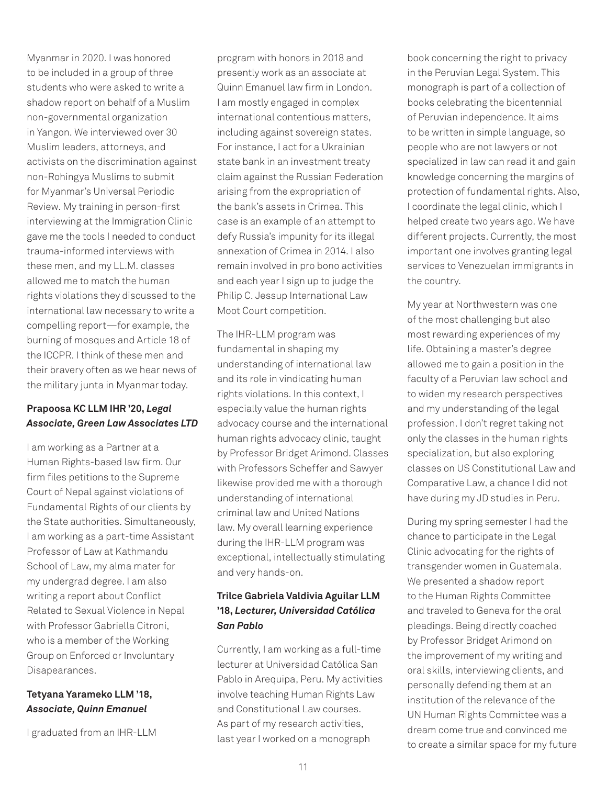Myanmar in 2020. I was honored to be included in a group of three students who were asked to write a shadow report on behalf of a Muslim non-governmental organization in Yangon. We interviewed over 30 Muslim leaders, attorneys, and activists on the discrimination against non-Rohingya Muslims to submit for Myanmar's Universal Periodic Review. My training in person-first interviewing at the Immigration Clinic gave me the tools I needed to conduct trauma-informed interviews with these men, and my LL.M. classes allowed me to match the human rights violations they discussed to the international law necessary to write a compelling report—for example, the burning of mosques and Article 18 of the ICCPR. I think of these men and their bravery often as we hear news of the military junta in Myanmar today.

#### **Prapoosa KC LLM IHR '20,** *Legal Associate, Green Law Associates LTD*

I am working as a Partner at a Human Rights-based law firm. Our firm files petitions to the Supreme Court of Nepal against violations of Fundamental Rights of our clients by the State authorities. Simultaneously, I am working as a part-time Assistant Professor of Law at Kathmandu School of Law, my alma mater for my undergrad degree. I am also writing a report about Conflict Related to Sexual Violence in Nepal with Professor Gabriella Citroni, who is a member of the Working Group on Enforced or Involuntary Disapearances.

#### **Tetyana Yarameko LLM '18,**  *Associate, Quinn Emanuel*

I graduated from an IHR-LLM

program with honors in 2018 and presently work as an associate at Quinn Emanuel law firm in London. I am mostly engaged in complex international contentious matters, including against sovereign states. For instance, I act for a Ukrainian state bank in an investment treaty claim against the Russian Federation arising from the expropriation of the bank's assets in Crimea. This case is an example of an attempt to defy Russia's impunity for its illegal annexation of Crimea in 2014. I also remain involved in pro bono activities and each year I sign up to judge the Philip C. Jessup International Law Moot Court competition.

The IHR-LLM program was fundamental in shaping my understanding of international law and its role in vindicating human rights violations. In this context, I especially value the human rights advocacy course and the international human rights advocacy clinic, taught by Professor Bridget Arimond. Classes with Professors Scheffer and Sawyer likewise provided me with a thorough understanding of international criminal law and United Nations law. My overall learning experience during the IHR-LLM program was exceptional, intellectually stimulating and very hands-on.

### **Trilce Gabriela Valdivia Aguilar LLM '18,** *Lecturer, Universidad Católica San Pablo*

Currently, I am working as a full-time lecturer at Universidad Católica San Pablo in Arequipa, Peru. My activities involve teaching Human Rights Law and Constitutional Law courses. As part of my research activities, last year I worked on a monograph

book concerning the right to privacy in the Peruvian Legal System. This monograph is part of a collection of books celebrating the bicentennial of Peruvian independence. It aims to be written in simple language, so people who are not lawyers or not specialized in law can read it and gain knowledge concerning the margins of protection of fundamental rights. Also, I coordinate the legal clinic, which I helped create two years ago. We have different projects. Currently, the most important one involves granting legal services to Venezuelan immigrants in the country.

My year at Northwestern was one of the most challenging but also most rewarding experiences of my life. Obtaining a master's degree allowed me to gain a position in the faculty of a Peruvian law school and to widen my research perspectives and my understanding of the legal profession. I don't regret taking not only the classes in the human rights specialization, but also exploring classes on US Constitutional Law and Comparative Law, a chance I did not have during my JD studies in Peru.

During my spring semester I had the chance to participate in the Legal Clinic advocating for the rights of transgender women in Guatemala. We presented a shadow report to the Human Rights Committee and traveled to Geneva for the oral pleadings. Being directly coached by Professor Bridget Arimond on the improvement of my writing and oral skills, interviewing clients, and personally defending them at an institution of the relevance of the UN Human Rights Committee was a dream come true and convinced me to create a similar space for my future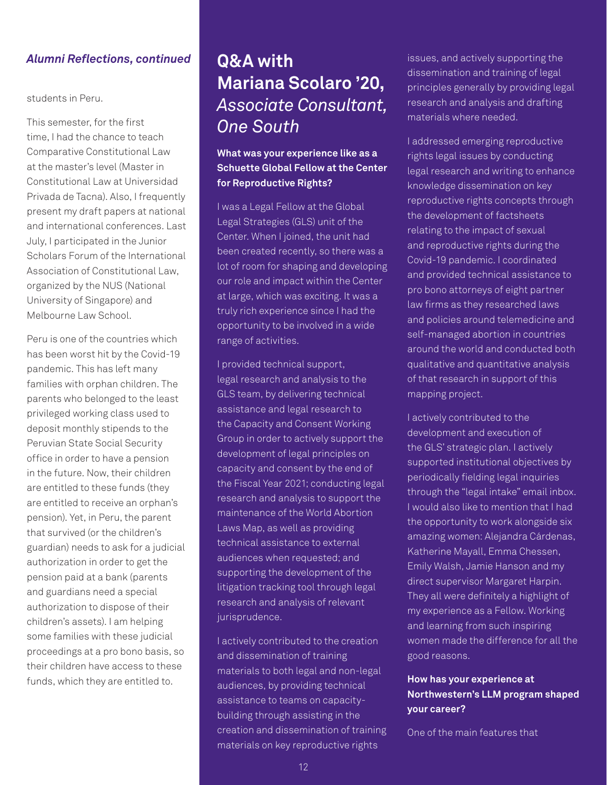### *Alumni Reflections, continued*

students in Peru.

This semester, for the first time, I had the chance to teach Comparative Constitutional Law at the master's level (Master in Constitutional Law at Universidad Privada de Tacna). Also, I frequently present my draft papers at national and international conferences. Last July, I participated in the Junior Scholars Forum of the International Association of Constitutional Law, organized by the NUS (National University of Singapore) and Melbourne Law School.

Peru is one of the countries which has been worst hit by the Covid-19 pandemic. This has left many families with orphan children. The parents who belonged to the least privileged working class used to deposit monthly stipends to the Peruvian State Social Security office in order to have a pension in the future. Now, their children are entitled to these funds (they are entitled to receive an orphan's pension). Yet, in Peru, the parent that survived (or the children's guardian) needs to ask for a judicial authorization in order to get the pension paid at a bank (parents and guardians need a special authorization to dispose of their children's assets). I am helping some families with these judicial proceedings at a pro bono basis, so their children have access to these funds, which they are entitled to.

# **Q&A with Mariana Scolaro '20,**  *Associate Consultant, One South*

**What was your experience like as a Schuette Global Fellow at the Center for Reproductive Rights?**

I was a Legal Fellow at the Global Legal Strategies (GLS) unit of the Center. When I joined, the unit had been created recently, so there was a lot of room for shaping and developing our role and impact within the Center at large, which was exciting. It was a truly rich experience since I had the opportunity to be involved in a wide range of activities.

I provided technical support, legal research and analysis to the GLS team, by delivering technical assistance and legal research to the Capacity and Consent Working Group in order to actively support the development of legal principles on capacity and consent by the end of the Fiscal Year 2021; conducting legal research and analysis to support the maintenance of the World Abortion Laws Map, as well as providing technical assistance to external audiences when requested; and supporting the development of the litigation tracking tool through legal research and analysis of relevant jurisprudence.

I actively contributed to the creation and dissemination of training materials to both legal and non-legal audiences, by providing technical assistance to teams on capacitybuilding through assisting in the creation and dissemination of training materials on key reproductive rights

issues, and actively supporting the dissemination and training of legal principles generally by providing legal research and analysis and drafting materials where needed.

I addressed emerging reproductive rights legal issues by conducting legal research and writing to enhance knowledge dissemination on key reproductive rights concepts through the development of factsheets relating to the impact of sexual and reproductive rights during the Covid-19 pandemic. I coordinated and provided technical assistance to pro bono attorneys of eight partner law firms as they researched laws and policies around telemedicine and self-managed abortion in countries around the world and conducted both qualitative and quantitative analysis of that research in support of this mapping project.

I actively contributed to the development and execution of the GLS' strategic plan. I actively supported institutional objectives by periodically fielding legal inquiries through the "legal intake" email inbox. I would also like to mention that I had the opportunity to work alongside six amazing women: Alejandra Cárdenas, Katherine Mayall, Emma Chessen, Emily Walsh, Jamie Hanson and my direct supervisor Margaret Harpin. They all were definitely a highlight of my experience as a Fellow. Working and learning from such inspiring women made the difference for all the good reasons.

#### **How has your experience at Northwestern's LLM program shaped your career?**

One of the main features that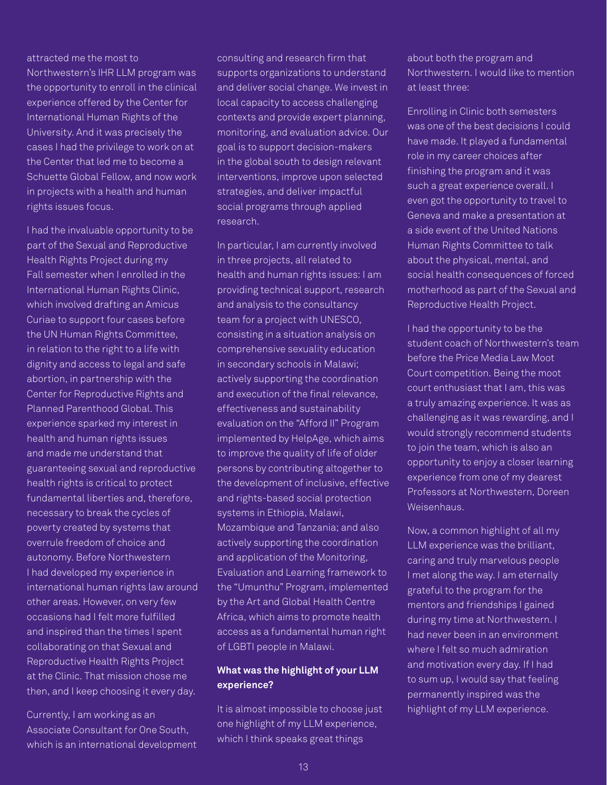attracted me the most to Northwestern's IHR LLM program was the opportunity to enroll in the clinical experience offered by the Center for International Human Rights of the University. And it was precisely the cases I had the privilege to work on at the Center that led me to become a Schuette Global Fellow, and now work in projects with a health and human rights issues focus.

I had the invaluable opportunity to be part of the Sexual and Reproductive Health Rights Project during my Fall semester when I enrolled in the International Human Rights Clinic, which involved drafting an Amicus Curiae to support four cases before the UN Human Rights Committee, in relation to the right to a life with dignity and access to legal and safe abortion, in partnership with the Center for Reproductive Rights and Planned Parenthood Global. This experience sparked my interest in health and human rights issues and made me understand that guaranteeing sexual and reproductive health rights is critical to protect fundamental liberties and, therefore, necessary to break the cycles of poverty created by systems that overrule freedom of choice and autonomy. Before Northwestern I had developed my experience in international human rights law around other areas. However, on very few occasions had I felt more fulfilled and inspired than the times I spent collaborating on that Sexual and Reproductive Health Rights Project at the Clinic. That mission chose me then, and I keep choosing it every day.

Currently, I am working as an Associate Consultant for One South, which is an international development

consulting and research firm that supports organizations to understand and deliver social change. We invest in local capacity to access challenging contexts and provide expert planning, monitoring, and evaluation advice. Our goal is to support decision-makers in the global south to design relevant interventions, improve upon selected strategies, and deliver impactful social programs through applied research.

In particular, I am currently involved in three projects, all related to health and human rights issues: I am providing technical support, research and analysis to the consultancy team for a project with UNESCO, consisting in a situation analysis on comprehensive sexuality education in secondary schools in Malawi; actively supporting the coordination and execution of the final relevance, effectiveness and sustainability evaluation on the "Afford II" Program implemented by HelpAge, which aims to improve the quality of life of older persons by contributing altogether to the development of inclusive, effective and rights-based social protection systems in Ethiopia, Malawi, Mozambique and Tanzania; and also actively supporting the coordination and application of the Monitoring, Evaluation and Learning framework to the "Umunthu" Program, implemented by the Art and Global Health Centre Africa, which aims to promote health access as a fundamental human right of LGBTI people in Malawi.

#### **What was the highlight of your LLM experience?**

It is almost impossible to choose just one highlight of my LLM experience, which I think speaks great things

about both the program and Northwestern. I would like to mention at least three:

Enrolling in Clinic both semesters was one of the best decisions I could have made. It played a fundamental role in my career choices after finishing the program and it was such a great experience overall. I even got the opportunity to travel to Geneva and make a presentation at a side event of the United Nations Human Rights Committee to talk about the physical, mental, and social health consequences of forced motherhood as part of the Sexual and Reproductive Health Project.

I had the opportunity to be the student coach of Northwestern's team before the Price Media Law Moot Court competition. Being the moot court enthusiast that I am, this was a truly amazing experience. It was as challenging as it was rewarding, and I would strongly recommend students to join the team, which is also an opportunity to enjoy a closer learning experience from one of my dearest Professors at Northwestern, Doreen Weisenhaus.

Now, a common highlight of all my LLM experience was the brilliant, caring and truly marvelous people I met along the way. I am eternally grateful to the program for the mentors and friendships I gained during my time at Northwestern. I had never been in an environment where I felt so much admiration and motivation every day. If I had to sum up, I would say that feeling permanently inspired was the highlight of my LLM experience.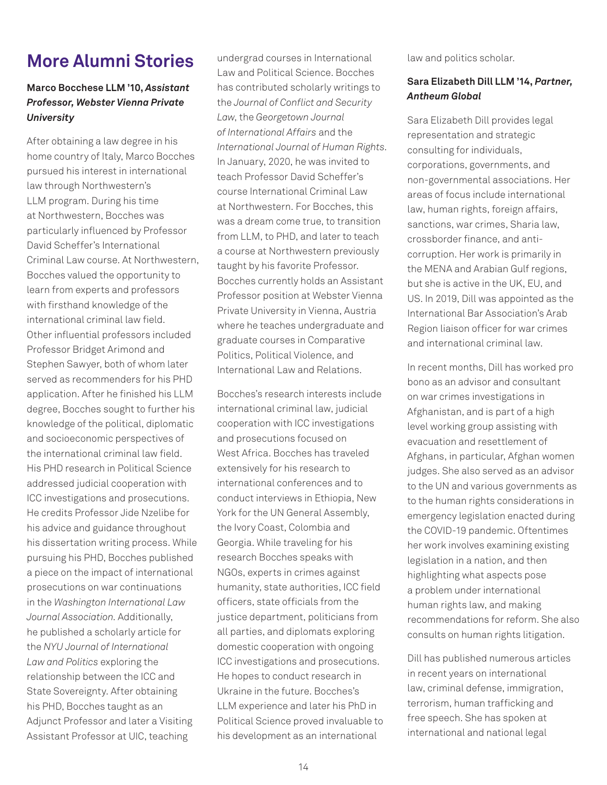# **More Alumni Stories**

### **Marco Bocchese LLM '10,** *Assistant Professor, Webster Vienna Private University*

After obtaining a law degree in his home country of Italy, Marco Bocches pursued his interest in international law through Northwestern's LLM program. During his time at Northwestern, Bocches was particularly influenced by Professor David Scheffer's International Criminal Law course. At Northwestern, Bocches valued the opportunity to learn from experts and professors with firsthand knowledge of the international criminal law field. Other influential professors included Professor Bridget Arimond and Stephen Sawyer, both of whom later served as recommenders for his PHD application. After he finished his LLM degree, Bocches sought to further his knowledge of the political, diplomatic and socioeconomic perspectives of the international criminal law field. His PHD research in Political Science addressed judicial cooperation with ICC investigations and prosecutions. He credits Professor Jide Nzelibe for his advice and guidance throughout his dissertation writing process. While pursuing his PHD, Bocches published a piece on the impact of international prosecutions on war continuations in the *Washington International Law Journal Association*. Additionally, he published a scholarly article for the *NYU Journal of International Law and Politics* exploring the relationship between the ICC and State Sovereignty. After obtaining his PHD, Bocches taught as an Adjunct Professor and later a Visiting Assistant Professor at UIC, teaching

undergrad courses in International Law and Political Science. Bocches has contributed scholarly writings to the *Journal of Conflict and Security Law*, the *Georgetown Journal of International Affairs* and the *International Journal of Human Rights*. In January, 2020, he was invited to teach Professor David Scheffer's course International Criminal Law at Northwestern. For Bocches, this was a dream come true, to transition from LLM, to PHD, and later to teach a course at Northwestern previously taught by his favorite Professor. Bocches currently holds an Assistant Professor position at Webster Vienna Private University in Vienna, Austria where he teaches undergraduate and graduate courses in Comparative Politics, Political Violence, and International Law and Relations.

Bocches's research interests include international criminal law, judicial cooperation with ICC investigations and prosecutions focused on West Africa. Bocches has traveled extensively for his research to international conferences and to conduct interviews in Ethiopia, New York for the UN General Assembly, the Ivory Coast, Colombia and Georgia. While traveling for his research Bocches speaks with NGOs, experts in crimes against humanity, state authorities, ICC field officers, state officials from the justice department, politicians from all parties, and diplomats exploring domestic cooperation with ongoing ICC investigations and prosecutions. He hopes to conduct research in Ukraine in the future. Bocches's LLM experience and later his PhD in Political Science proved invaluable to his development as an international

law and politics scholar.

#### **Sara Elizabeth Dill LLM '14,** *Partner, Antheum Global*

Sara Elizabeth Dill provides legal representation and strategic consulting for individuals, corporations, governments, and non-governmental associations. Her areas of focus include international law, human rights, foreign affairs, sanctions, war crimes, Sharia law, crossborder finance, and anticorruption. Her work is primarily in the MENA and Arabian Gulf regions, but she is active in the UK, EU, and US. In 2019, Dill was appointed as the International Bar Association's Arab Region liaison officer for war crimes and international criminal law.

In recent months, Dill has worked pro bono as an advisor and consultant on war crimes investigations in Afghanistan, and is part of a high level working group assisting with evacuation and resettlement of Afghans, in particular, Afghan women judges. She also served as an advisor to the UN and various governments as to the human rights considerations in emergency legislation enacted during the COVID-19 pandemic. Oftentimes her work involves examining existing legislation in a nation, and then highlighting what aspects pose a problem under international human rights law, and making recommendations for reform. She also consults on human rights litigation.

Dill has published numerous articles in recent years on international law, criminal defense, immigration, terrorism, human trafficking and free speech. She has spoken at international and national legal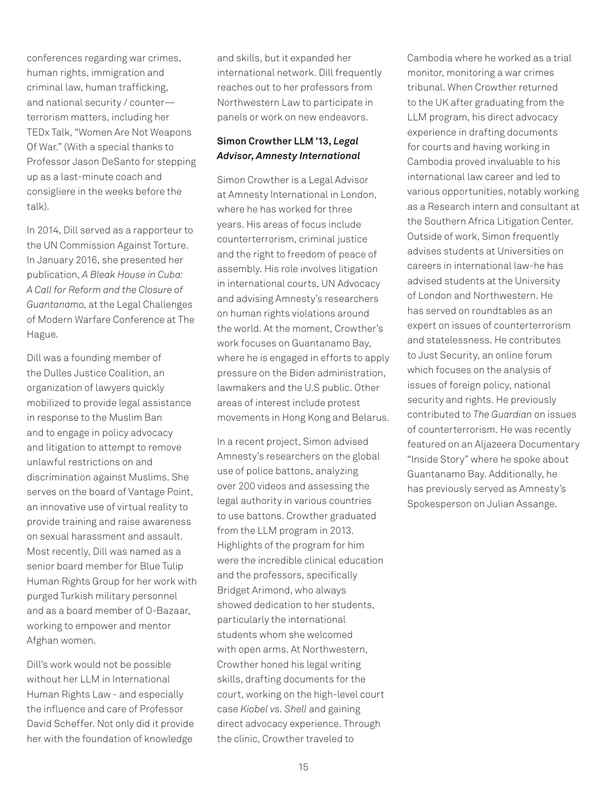conferences regarding war crimes, human rights, immigration and criminal law, human trafficking, and national security / counter terrorism matters, including her TEDx Talk, "Women Are Not Weapons Of War." (With a special thanks to Professor Jason DeSanto for stepping up as a last-minute coach and consigliere in the weeks before the talk).

In 2014, Dill served as a rapporteur to the UN Commission Against Torture. In January 2016, she presented her publication, *A Bleak House in Cuba: A Call for Reform and the Closure of Guantanamo*, at the Legal Challenges of Modern Warfare Conference at The Hague.

Dill was a founding member of the Dulles Justice Coalition, an organization of lawyers quickly mobilized to provide legal assistance in response to the Muslim Ban and to engage in policy advocacy and litigation to attempt to remove unlawful restrictions on and discrimination against Muslims. She serves on the board of Vantage Point, an innovative use of virtual reality to provide training and raise awareness on sexual harassment and assault. Most recently, Dill was named as a senior board member for Blue Tulip Human Rights Group for her work with purged Turkish military personnel and as a board member of O-Bazaar, working to empower and mentor Afghan women.

Dill's work would not be possible without her LLM in International Human Rights Law - and especially the influence and care of Professor David Scheffer. Not only did it provide her with the foundation of knowledge

and skills, but it expanded her international network. Dill frequently reaches out to her professors from Northwestern Law to participate in panels or work on new endeavors.

#### **Simon Crowther LLM '13,** *Legal Advisor, Amnesty International*

Simon Crowther is a Legal Advisor at Amnesty International in London, where he has worked for three years. His areas of focus include counterterrorism, criminal justice and the right to freedom of peace of assembly. His role involves litigation in international courts, UN Advocacy and advising Amnesty's researchers on human rights violations around the world. At the moment, Crowther's work focuses on Guantanamo Bay, where he is engaged in efforts to apply pressure on the Biden administration, lawmakers and the U.S public. Other areas of interest include protest movements in Hong Kong and Belarus.

In a recent project, Simon advised Amnesty's researchers on the global use of police battons, analyzing over 200 videos and assessing the legal authority in various countries to use battons. Crowther graduated from the LLM program in 2013. Highlights of the program for him were the incredible clinical education and the professors, specifically Bridget Arimond, who always showed dedication to her students, particularly the international students whom she welcomed with open arms. At Northwestern, Crowther honed his legal writing skills, drafting documents for the court, working on the high-level court case *Kiobel vs. Shell* and gaining direct advocacy experience. Through the clinic, Crowther traveled to

Cambodia where he worked as a trial monitor, monitoring a war crimes tribunal. When Crowther returned to the UK after graduating from the LLM program, his direct advocacy experience in drafting documents for courts and having working in Cambodia proved invaluable to his international law career and led to various opportunities, notably working as a Research intern and consultant at the Southern Africa Litigation Center. Outside of work, Simon frequently advises students at Universities on careers in international law-he has advised students at the University of London and Northwestern. He has served on roundtables as an expert on issues of counterterrorism and statelessness. He contributes to Just Security, an online forum which focuses on the analysis of issues of foreign policy, national security and rights. He previously contributed to *The Guardian* on issues of counterterrorism. He was recently featured on an Aljazeera Documentary "Inside Story" where he spoke about Guantanamo Bay. Additionally, he has previously served as Amnesty's Spokesperson on Julian Assange.